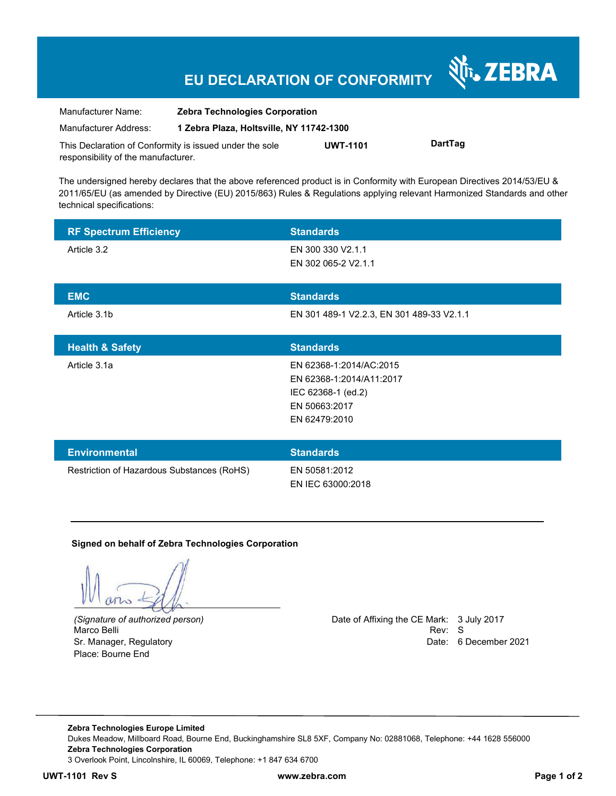# **EU DECLARATION OF CONFORMITY**

| Manufacturer Name:                                      | <b>Zebra Technologies Corporation</b>    |                 |         |
|---------------------------------------------------------|------------------------------------------|-----------------|---------|
| Manufacturer Address:                                   | 1 Zebra Plaza, Holtsville, NY 11742-1300 |                 |         |
| This Declaration of Conformity is issued under the sole |                                          | <b>UWT-1101</b> | DartTag |

The undersigned hereby declares that the above referenced product is in Conformity with European Directives 2014/53/EU & 2011/65/EU (as amended by Directive (EU) 2015/863) Rules & Regulations applying relevant Harmonized Standards and other technical specifications:

| <b>RF Spectrum Efficiency</b>              | <b>Standards</b>                                                                                            |
|--------------------------------------------|-------------------------------------------------------------------------------------------------------------|
| Article 3.2                                | EN 300 330 V2.1.1<br>EN 302 065-2 V2.1.1                                                                    |
| <b>EMC</b>                                 | <b>Standards</b>                                                                                            |
| Article 3.1b                               | EN 301 489-1 V2.2.3, EN 301 489-33 V2.1.1                                                                   |
| <b>Health &amp; Safety</b>                 | <b>Standards</b>                                                                                            |
| Article 3.1a                               | EN 62368-1:2014/AC:2015<br>EN 62368-1:2014/A11:2017<br>IEC 62368-1 (ed.2)<br>EN 50663:2017<br>EN 62479:2010 |
| <b>Environmental</b>                       | <b>Standards</b>                                                                                            |
| Restriction of Hazardous Substances (RoHS) | EN 50581:2012<br>EN IEC 63000:2018                                                                          |

#### **Signed on behalf of Zebra Technologies Corporation**

Marco Belli Place: Bourne End

responsibility of the manufacturer.

*(Signature of authorized person)* Date of Affixing the CE Mark: 3 July 2017 Sr. Manager, Regulatory **Date: 6 December 2021 Date: 6 December 2021** 

र्शे<sub>ं</sub> ZEBRA

**Zebra Technologies Europe Limited**  Dukes Meadow, Millboard Road, Bourne End, Buckinghamshire SL8 5XF, Company No: 02881068, Telephone: +44 1628 556000 **Zebra Technologies Corporation**  3 Overlook Point, Lincolnshire, IL 60069, Telephone: +1 847 634 6700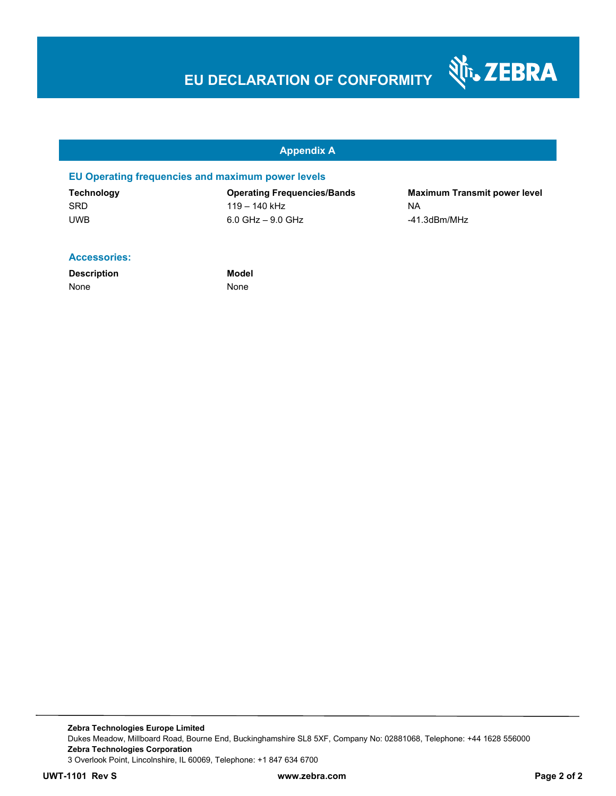# **EU DECLARATION OF CONFORMITY**

श्री<sub>1</sub>, ZEBRA

#### **Appendix A**

#### **EU Operating frequencies and maximum power levels**

| Technology | <b>Operating Frequencies/Bands</b> | <b>Maximum Transmit power level</b> |
|------------|------------------------------------|-------------------------------------|
| <b>SRD</b> | 119 – 140 kHz                      | ΝA                                  |
| <b>UWB</b> | $6.0$ GHz $-$ 9.0 GHz              | -41.3dBm/MHz                        |

#### **Accessories:**

**Description Model** None None None